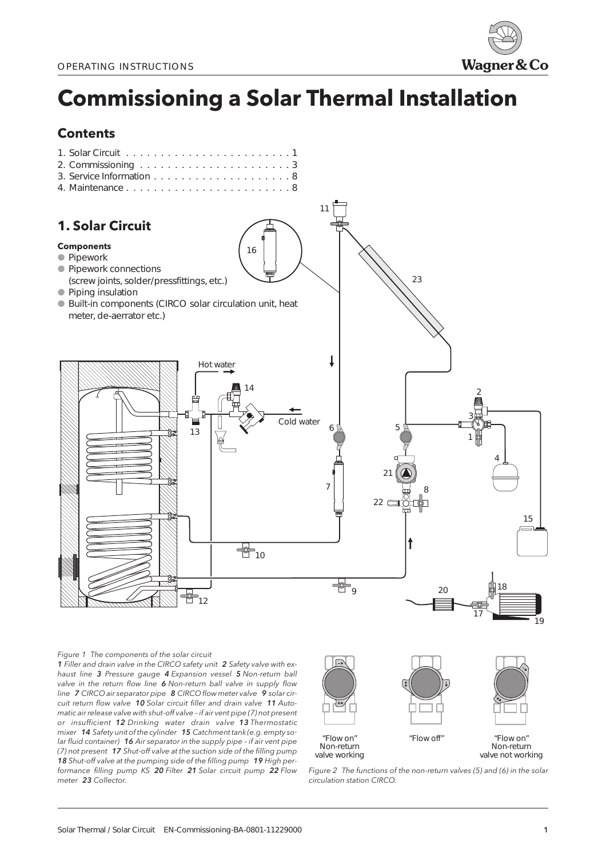

# **Commissioning a Solar Thermal Installation**

16

11

### **Contents**

- 1. Solar Circuit . . . . . . . . . . . . . . . . . . . . . . . .1 2. Commissioning . . . . . . . . . . . . . . . . . . . . . .3 3. Service Information . . . . . . . . . . . . . . . . . . . .8
- 4. Maintenance . . . . . . . . . . . . . . . . . . . . . . . .8

### **1. Solar Circuit**

### **Components**

- Pipework
- Pipework connections (screw joints, solder/pressfittings, etc.)
- Piping insulation
- Built-in components (CIRCO solar circulation unit, heat meter, de-aerrator etc.)



#### *Figure 1 The components of the solar circuit*

*1 Filler and drain valve in the CIRCO safety unit 2 Safety valve with exhaust line 3 Pressure gauge 4 Expansion vessel 5 Non-return ball valve in the return flow line 6 Non-return ball valve in supply flow line 7 CIRCO air separator pipe 8 CIRCO flow meter valve 9 solar circuit return flow valve 10 Solar circuit filler and drain valve 11 Automatic air release valve with shut-off valve – if air vent pipe (7) not present or insufficient 12 Drinking water drain valve 13 Thermostatic mixer 14 Safety unit of the cylinder 15 Catchment tank (e.g. empty solar fluid container) 16 Air separator in the supply pipe – if air vent pipe (7) not present 17 Shut-off valve at the suction side of the filling pump 18 Shut-off valve at the pumping side of the filling pump 19 High performance filling pump KS 20 Filter 21 Solar circuit pump 22 Flow meter 23 Collector.*



23

*Figure 2 The functions of the non-return valves (5) and (6) in the solar circulation station CIRCO.*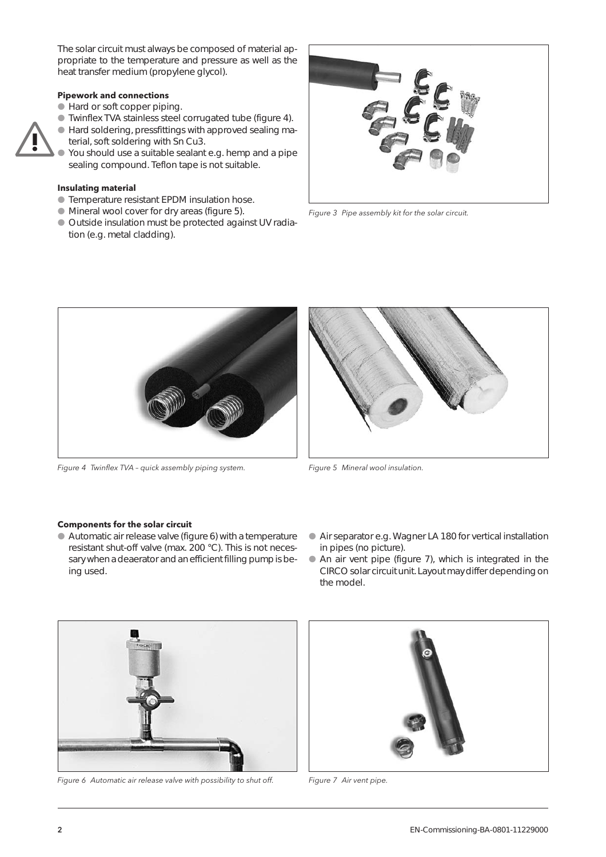The solar circuit must always be composed of material appropriate to the temperature and pressure as well as the heat transfer medium (propylene glycol).

### **Pipework and connections**

- Hard or soft copper piping.
- Twinflex TVA stainless steel corrugated tube (figure 4).
- Hard soldering, pressfittings with approved sealing material, soft soldering with Sn Cu3.
- You should use a suitable sealant e.g. hemp and a pipe sealing compound. Teflon tape is not suitable.

#### **Insulating material**

- Temperature resistant EPDM insulation hose.
- Mineral wool cover for dry areas (figure 5).
- Outside insulation must be protected against UV radiation (e.g. metal cladding).



*Figure 3 Pipe assembly kit for the solar circuit.*



*Figure 4 Twinflex TVA – quick assembly piping system. Figure 5 Mineral wool insulation.*



#### **Components for the solar circuit**

- Automatic air release valve (figure 6) with a temperature resistant shut-off valve (max. 200 °C). This is not necessary when a deaerator and an efficient filling pump is being used.
- Air separator e.g. Wagner LA 180 for vertical installation in pipes (no picture).
- An air vent pipe (figure 7), which is integrated in the CIRCO solar circuit unit. Layout may differ depending on the model.



Figure 6 Automatic air release valve with possibility to shut off. Figure 7 Air vent pipe.



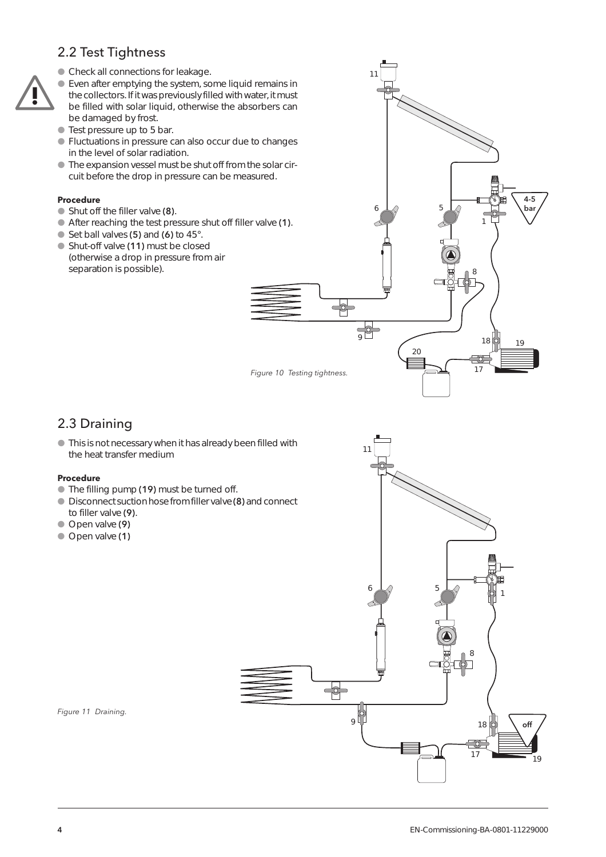### 2.2 Test Tightness



- Check all connections for leakage.
- $\bullet$  Even after emptying the system, some liquid remains in the collectors. If it was previously filled with water, it must be filled with solar liquid, otherwise the absorbers can be damaged by frost.
- Test pressure up to 5 bar.
- Fluctuations in pressure can also occur due to changes in the level of solar radiation.
- The expansion vessel must be shut off from the solar circuit before the drop in pressure can be measured.

### **Procedure**

- Shut off the filler valve **(8)**.
- After reaching the test pressure shut off filler valve **(1)**.
- Set ball valves **(5)** and **(6)** to 45°.
- Shut-off valve **(11)** must be closed (otherwise a drop in pressure from air separation is possible).



11

**4-5**

17

1

 $18$  (c)  $19$ 

### 2.3 Draining

● This is not necessary when it has already been filled with the heat transfer medium

### **Procedure**

- The filling pump **(19)** must be turned off.
- Disconnect suction hose from filler valve **(8)** and connect to filler valve **(9)**.
- Open valve **(9)**
- Open valve **(1)**



*Figure 11 Draining.*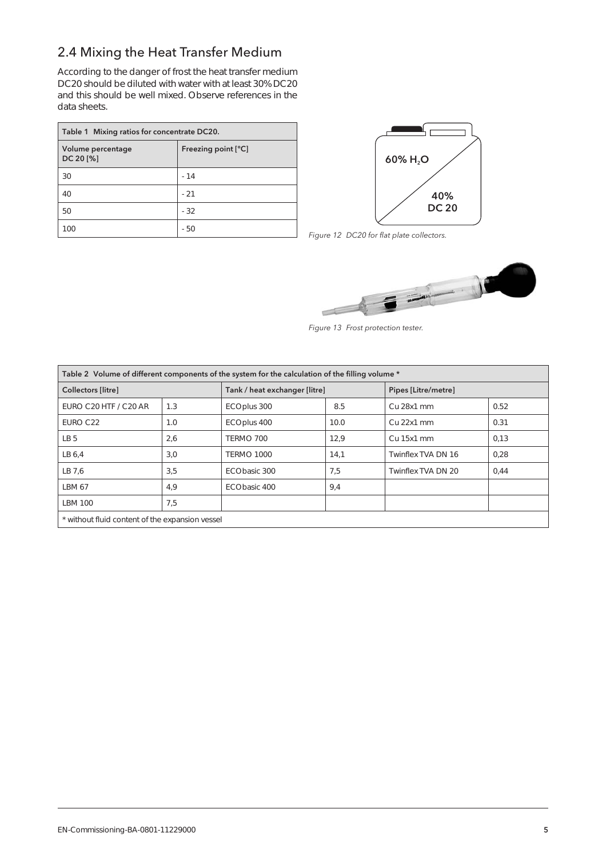# 2.4 Mixing the Heat Transfer Medium

According to the danger of frost the heat transfer medium DC20 should be diluted with water with at least 30% DC20 and this should be well mixed. Observe references in the data sheets.

| Table 1 Mixing ratios for concentrate DC20. |                     |  |  |  |
|---------------------------------------------|---------------------|--|--|--|
| Volume percentage<br>DC 20 [%]              | Freezing point [°C] |  |  |  |
| 30                                          | $-14$               |  |  |  |
| 40                                          | $-21$               |  |  |  |
| 50                                          | - 32                |  |  |  |
| 100                                         | - 50                |  |  |  |



*Figure 12 DC20 for flat plate collectors.*



*Figure 13 Frost protection tester.*

| Table 2 Volume of different components of the system for the calculation of the filling volume * |     |                               |      |                     |      |  |  |
|--------------------------------------------------------------------------------------------------|-----|-------------------------------|------|---------------------|------|--|--|
| <b>Collectors [litre]</b>                                                                        |     | Tank / heat exchanger [litre] |      | Pipes [Litre/metre] |      |  |  |
| EURO C20 HTF / C20 AR                                                                            | 1.3 | ECOplus 300                   | 8.5  | Cu 28x1 mm          | 0.52 |  |  |
| EURO C22                                                                                         | 1.0 | ECOplus 400                   | 10.0 | Cu 22x1 mm          | 0.31 |  |  |
| LB <sub>5</sub>                                                                                  | 2,6 | TERMO 700                     | 12.9 | Cu 15x1 mm          | 0,13 |  |  |
| LB 6,4                                                                                           | 3,0 | <b>TERMO 1000</b>             | 14,1 | Twinflex TVA DN 16  | 0.28 |  |  |
| LB 7.6                                                                                           | 3,5 | ECObasic 300                  | 7,5  | Twinflex TVA DN 20  | 0.44 |  |  |
| <b>LBM 67</b>                                                                                    | 4.9 | ECObasic 400                  | 9,4  |                     |      |  |  |
| <b>LBM 100</b>                                                                                   | 7,5 |                               |      |                     |      |  |  |
| * without fluid content of the expansion vessel                                                  |     |                               |      |                     |      |  |  |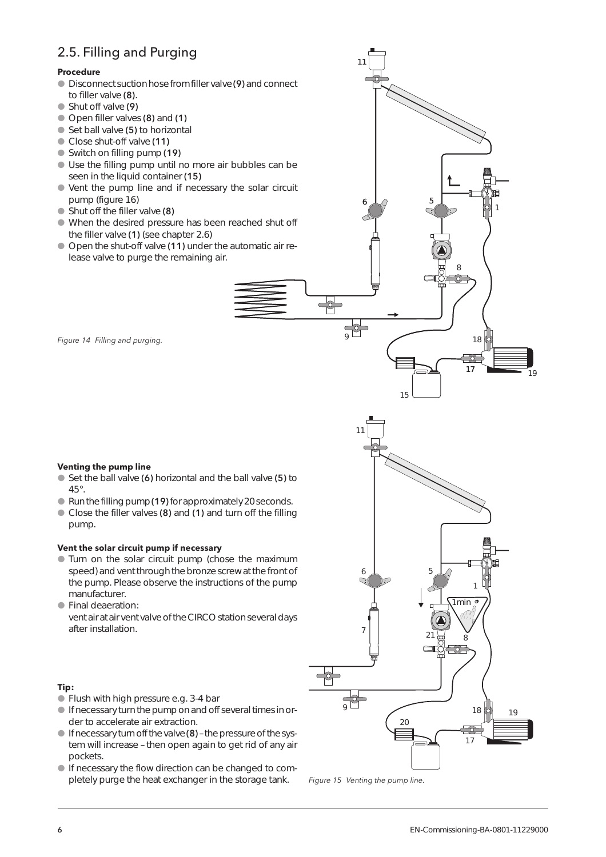# 2.5. Filling and Purging

### **Procedure**

- Disconnect suction hose from filler valve **(9)** and connect to filler valve **(8)**.
- Shut off valve **(9)**
- Open filler valves **(8)** and **(1)**
- Set ball valve (5) to horizontal
- Close shut-off valve **(11)**
- Switch on filling pump **(19)**
- Use the filling pump until no more air bubbles can be seen in the liquid container **(15)**
- Vent the pump line and if necessary the solar circuit pump (figure 16)
- Shut off the filler valve **(8)**
- When the desired pressure has been reached shut off the filler valve **(1)** (see chapter 2.6)
- Open the shut-off valve **(11)** under the automatic air release valve to purge the remaining air.

*Figure 14 Filling and purging.*

### **Venting the pump line**

- Set the ball valve **(6)** horizontal and the ball valve **(5)** to  $45°$
- Run the filling pump**(19)**for approximately 20 seconds.
- Close the filler valves **(8)** and **(1)** and turn off the filling pump.

### **Vent the solar circuit pump if necessary**

- Turn on the solar circuit pump (chose the maximum speed) and vent through the bronze screw at the front of the pump. Please observe the instructions of the pump manufacturer.
- Final deaeration: vent air at air vent valve of the CIRCO station several days after installation.

### **Tip:**

- Flush with high pressure e.g. 3-4 bar
- If necessary turn the pump on and off several times in order to accelerate air extraction.
- If necessary turn off the valve **(8)** the pressure of the system will increase – then open again to get rid of any air pockets.
- If necessary the flow direction can be changed to completely purge the heat exchanger in the storage tank.



11

*Figure 15 Venting the pump line.*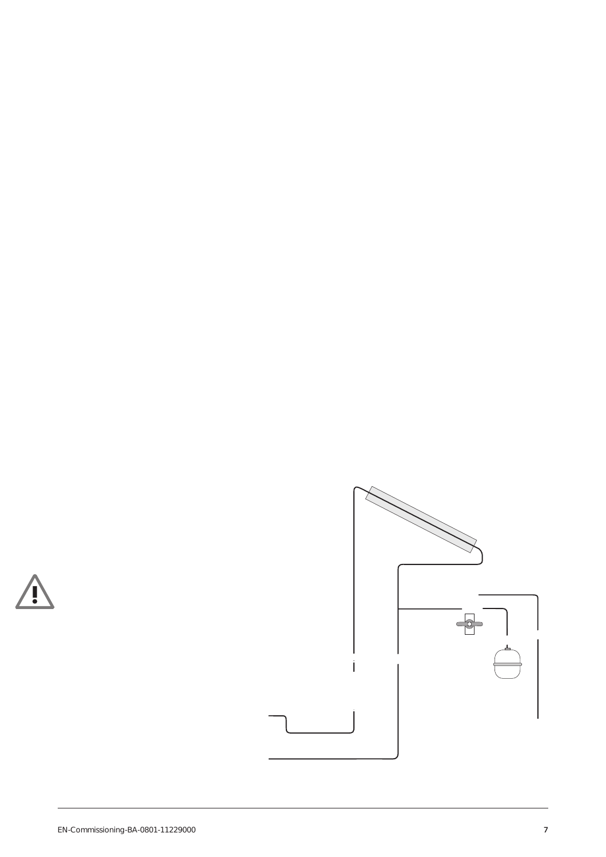